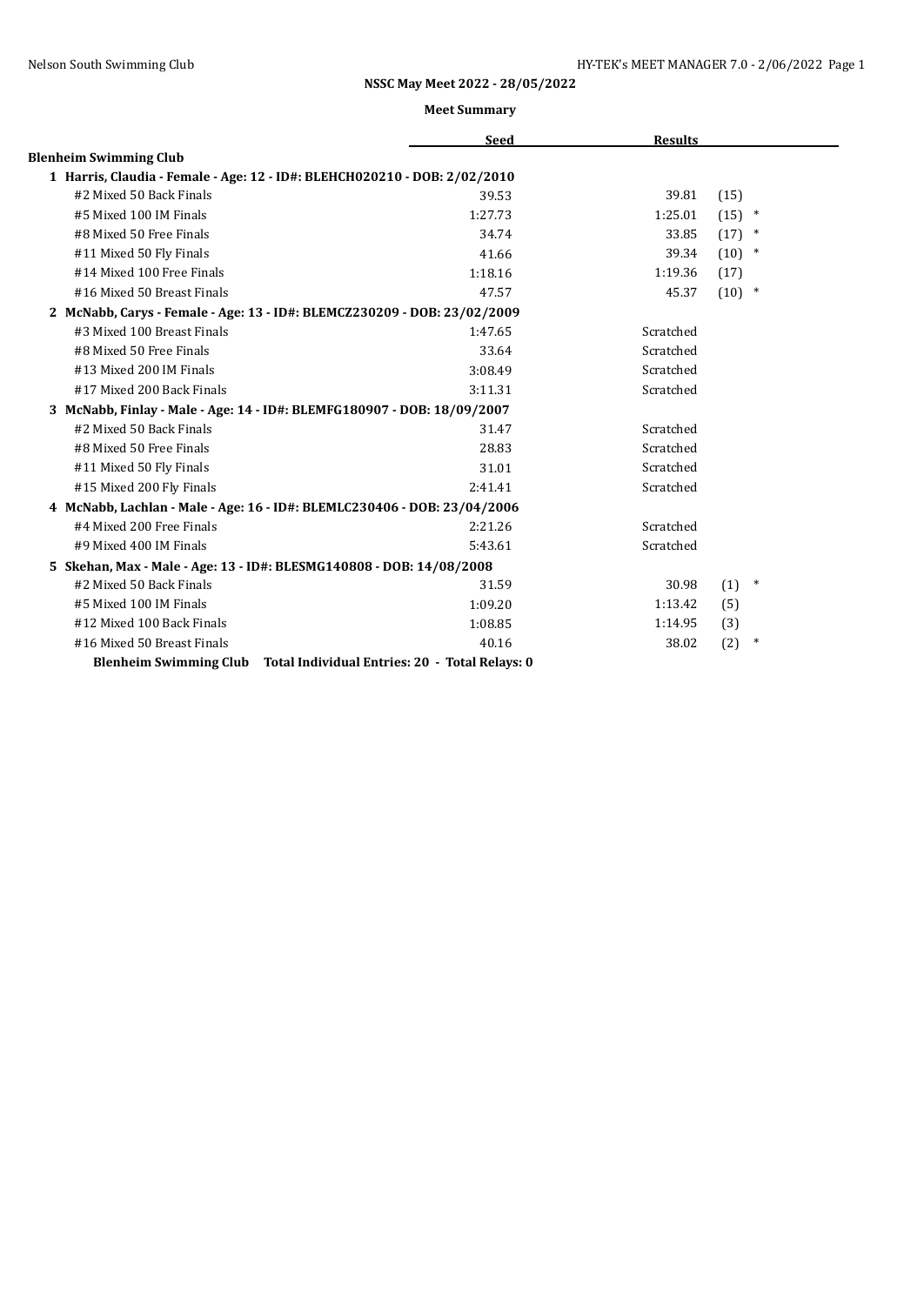|                                                                           | <b>Seed</b>                                    | <b>Results</b> |                |
|---------------------------------------------------------------------------|------------------------------------------------|----------------|----------------|
| <b>Blenheim Swimming Club</b>                                             |                                                |                |                |
| 1 Harris, Claudia - Female - Age: 12 - ID#: BLEHCH020210 - DOB: 2/02/2010 |                                                |                |                |
| #2 Mixed 50 Back Finals                                                   | 39.53                                          | 39.81          | (15)           |
| #5 Mixed 100 IM Finals                                                    | 1:27.73                                        | 1:25.01        | (15)<br>$\ast$ |
| #8 Mixed 50 Free Finals                                                   | 34.74                                          | 33.85          | $(17)$ *       |
| #11 Mixed 50 Fly Finals                                                   | 41.66                                          | 39.34          | $(10)$ *       |
| #14 Mixed 100 Free Finals                                                 | 1:18.16                                        | 1:19.36        | (17)           |
| #16 Mixed 50 Breast Finals                                                | 47.57                                          | 45.37          | $(10)$ *       |
| 2 McNabb, Carys - Female - Age: 13 - ID#: BLEMCZ230209 - DOB: 23/02/2009  |                                                |                |                |
| #3 Mixed 100 Breast Finals                                                | 1:47.65                                        | Scratched      |                |
| #8 Mixed 50 Free Finals                                                   | 33.64                                          | Scratched      |                |
| #13 Mixed 200 IM Finals                                                   | 3:08.49                                        | Scratched      |                |
| #17 Mixed 200 Back Finals                                                 | 3:11.31                                        | Scratched      |                |
| 3 McNabb, Finlay - Male - Age: 14 - ID#: BLEMFG180907 - DOB: 18/09/2007   |                                                |                |                |
| #2 Mixed 50 Back Finals                                                   | 31.47                                          | Scratched      |                |
| #8 Mixed 50 Free Finals                                                   | 28.83                                          | Scratched      |                |
| #11 Mixed 50 Fly Finals                                                   | 31.01                                          | Scratched      |                |
| #15 Mixed 200 Fly Finals                                                  | 2:41.41                                        | Scratched      |                |
| 4 McNabb, Lachlan - Male - Age: 16 - ID#: BLEMLC230406 - DOB: 23/04/2006  |                                                |                |                |
| #4 Mixed 200 Free Finals                                                  | 2:21.26                                        | Scratched      |                |
| #9 Mixed 400 IM Finals                                                    | 5:43.61                                        | Scratched      |                |
| 5 Skehan, Max - Male - Age: 13 - ID#: BLESMG140808 - DOB: 14/08/2008      |                                                |                |                |
| #2 Mixed 50 Back Finals                                                   | 31.59                                          | 30.98          | $\ast$<br>(1)  |
| #5 Mixed 100 IM Finals                                                    | 1:09.20                                        | 1:13.42        | (5)            |
| #12 Mixed 100 Back Finals                                                 | 1:08.85                                        | 1:14.95        | (3)            |
| #16 Mixed 50 Breast Finals                                                | 40.16                                          | 38.02          | (2)<br>$\ast$  |
| <b>Blenheim Swimming Club</b>                                             | Total Individual Entries: 20 - Total Relays: 0 |                |                |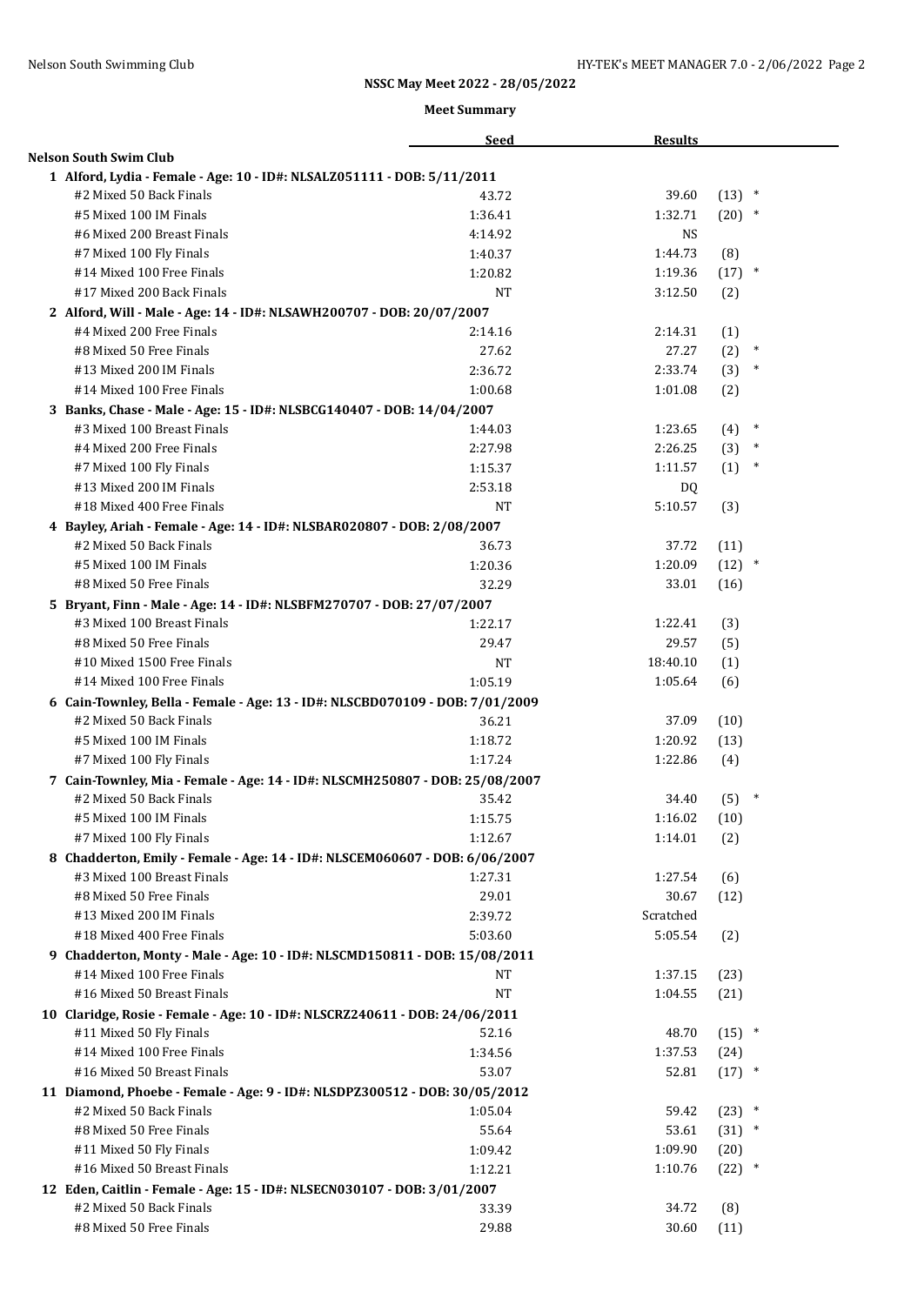|                                                                               | <b>Seed</b> | <b>Results</b> |               |
|-------------------------------------------------------------------------------|-------------|----------------|---------------|
| <b>Nelson South Swim Club</b>                                                 |             |                |               |
| 1 Alford, Lydia - Female - Age: 10 - ID#: NLSALZ051111 - DOB: 5/11/2011       |             |                |               |
| #2 Mixed 50 Back Finals                                                       | 43.72       | 39.60          | $(13)$ *      |
| #5 Mixed 100 IM Finals                                                        | 1:36.41     | 1:32.71        | $(20)$ *      |
| #6 Mixed 200 Breast Finals                                                    | 4:14.92     | NS             |               |
| #7 Mixed 100 Fly Finals                                                       | 1:40.37     | 1:44.73        | (8)           |
| #14 Mixed 100 Free Finals                                                     | 1:20.82     | 1:19.36        | $(17)$ *      |
| #17 Mixed 200 Back Finals                                                     | <b>NT</b>   | 3:12.50        | (2)           |
| 2 Alford, Will - Male - Age: 14 - ID#: NLSAWH200707 - DOB: 20/07/2007         |             |                |               |
| #4 Mixed 200 Free Finals                                                      | 2:14.16     | 2:14.31        | (1)           |
| #8 Mixed 50 Free Finals                                                       | 27.62       | 27.27          | (2)<br>$\ast$ |
| #13 Mixed 200 IM Finals                                                       | 2:36.72     | 2:33.74        | $\ast$<br>(3) |
| #14 Mixed 100 Free Finals                                                     | 1:00.68     | 1:01.08        | (2)           |
| 3 Banks, Chase - Male - Age: 15 - ID#: NLSBCG140407 - DOB: 14/04/2007         |             |                |               |
| #3 Mixed 100 Breast Finals                                                    | 1:44.03     | 1:23.65        | $\ast$<br>(4) |
| #4 Mixed 200 Free Finals                                                      | 2:27.98     | 2:26.25        | (3)<br>$\ast$ |
| #7 Mixed 100 Fly Finals                                                       | 1:15.37     | 1:11.57        | (1)<br>$\ast$ |
| #13 Mixed 200 IM Finals                                                       | 2:53.18     | DQ             |               |
| #18 Mixed 400 Free Finals                                                     | NT          | 5:10.57        | (3)           |
| 4 Bayley, Ariah - Female - Age: 14 - ID#: NLSBAR020807 - DOB: 2/08/2007       |             |                |               |
| #2 Mixed 50 Back Finals                                                       | 36.73       | 37.72          | (11)          |
| #5 Mixed 100 IM Finals                                                        | 1:20.36     | 1:20.09        | $(12)$ *      |
| #8 Mixed 50 Free Finals                                                       | 32.29       | 33.01          | (16)          |
| 5 Bryant, Finn - Male - Age: 14 - ID#: NLSBFM270707 - DOB: 27/07/2007         |             |                |               |
| #3 Mixed 100 Breast Finals                                                    | 1:22.17     | 1:22.41        | (3)           |
| #8 Mixed 50 Free Finals                                                       | 29.47       | 29.57          | (5)           |
| #10 Mixed 1500 Free Finals                                                    | NΤ          | 18:40.10       | (1)           |
| #14 Mixed 100 Free Finals                                                     | 1:05.19     | 1:05.64        | (6)           |
| 6 Cain-Townley, Bella - Female - Age: 13 - ID#: NLSCBD070109 - DOB: 7/01/2009 |             |                |               |
| #2 Mixed 50 Back Finals                                                       | 36.21       | 37.09          | (10)          |
| #5 Mixed 100 IM Finals                                                        | 1:18.72     | 1:20.92        | (13)          |
| #7 Mixed 100 Fly Finals                                                       | 1:17.24     | 1:22.86        | (4)           |
| 7 Cain-Townley, Mia - Female - Age: 14 - ID#: NLSCMH250807 - DOB: 25/08/2007  |             |                |               |
| #2 Mixed 50 Back Finals                                                       | 35.42       | 34.40          | (5)           |
| #5 Mixed 100 IM Finals                                                        | 1:15.75     | 1:16.02        | (10)          |
| #7 Mixed 100 Fly Finals                                                       | 1:12.67     | 1:14.01        | (2)           |
| 8 Chadderton, Emily - Female - Age: 14 - ID#: NLSCEM060607 - DOB: 6/06/2007   |             |                |               |
| #3 Mixed 100 Breast Finals                                                    | 1:27.31     | 1:27.54        | (6)           |
| #8 Mixed 50 Free Finals                                                       | 29.01       | 30.67          | (12)          |
| #13 Mixed 200 IM Finals                                                       | 2:39.72     | Scratched      |               |
| #18 Mixed 400 Free Finals                                                     | 5:03.60     | 5:05.54        | (2)           |
| 9 Chadderton, Monty - Male - Age: 10 - ID#: NLSCMD150811 - DOB: 15/08/2011    |             |                |               |
| #14 Mixed 100 Free Finals                                                     | NT          | 1:37.15        | (23)          |
| #16 Mixed 50 Breast Finals                                                    | <b>NT</b>   | 1:04.55        | (21)          |
| 10 Claridge, Rosie - Female - Age: 10 - ID#: NLSCRZ240611 - DOB: 24/06/2011   |             |                |               |
| #11 Mixed 50 Fly Finals                                                       | 52.16       | 48.70          | $(15)$ *      |
| #14 Mixed 100 Free Finals                                                     | 1:34.56     | 1:37.53        | (24)          |
| #16 Mixed 50 Breast Finals                                                    | 53.07       | 52.81          | $(17)$ *      |
| 11 Diamond, Phoebe - Female - Age: 9 - ID#: NLSDPZ300512 - DOB: 30/05/2012    |             |                |               |
| #2 Mixed 50 Back Finals                                                       | 1:05.04     | 59.42          | $(23)$ *      |
| #8 Mixed 50 Free Finals                                                       | 55.64       | 53.61          | $(31)$ *      |
| #11 Mixed 50 Fly Finals                                                       | 1:09.42     | 1:09.90        | (20)          |
| #16 Mixed 50 Breast Finals                                                    | 1:12.21     | 1:10.76        | $(22)$ *      |
| 12 Eden, Caitlin - Female - Age: 15 - ID#: NLSECN030107 - DOB: 3/01/2007      |             |                |               |
| #2 Mixed 50 Back Finals                                                       | 33.39       | 34.72          | (8)           |
| #8 Mixed 50 Free Finals                                                       | 29.88       | 30.60          | (11)          |
|                                                                               |             |                |               |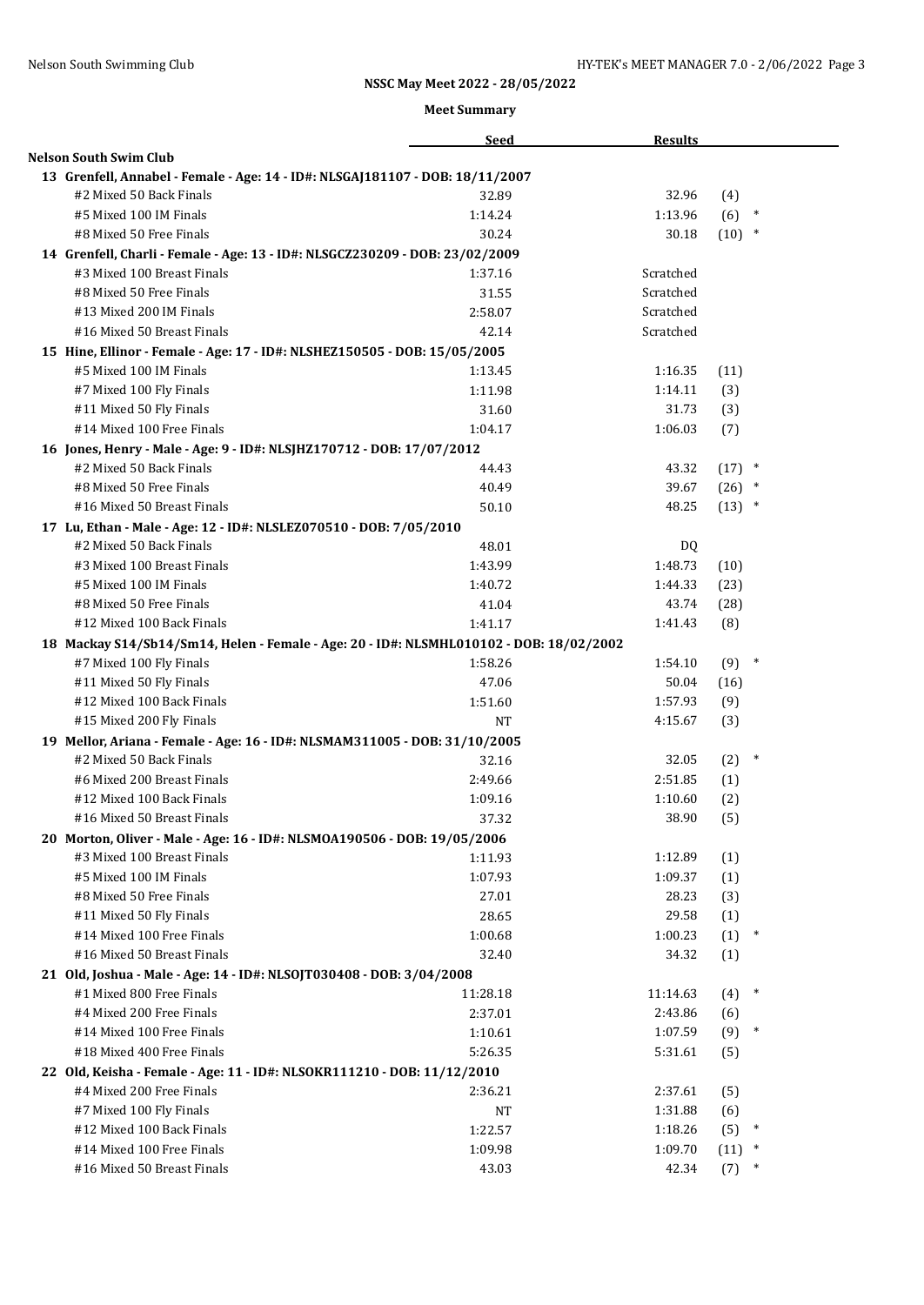|                                                                                         | <b>Seed</b>        | <b>Results</b>     |             |        |  |
|-----------------------------------------------------------------------------------------|--------------------|--------------------|-------------|--------|--|
| <b>Nelson South Swim Club</b>                                                           |                    |                    |             |        |  |
| 13 Grenfell, Annabel - Female - Age: 14 - ID#: NLSGAJ181107 - DOB: 18/11/2007           |                    |                    |             |        |  |
| #2 Mixed 50 Back Finals                                                                 | 32.89              | 32.96              | (4)         |        |  |
| #5 Mixed 100 IM Finals                                                                  | 1:14.24            | 1:13.96            | (6)         | $\ast$ |  |
| #8 Mixed 50 Free Finals                                                                 | 30.24              | 30.18              | $(10)$ *    |        |  |
| 14 Grenfell, Charli - Female - Age: 13 - ID#: NLSGCZ230209 - DOB: 23/02/2009            |                    |                    |             |        |  |
| #3 Mixed 100 Breast Finals                                                              | 1:37.16            | Scratched          |             |        |  |
| #8 Mixed 50 Free Finals                                                                 | 31.55              | Scratched          |             |        |  |
| #13 Mixed 200 IM Finals                                                                 | 2:58.07            | Scratched          |             |        |  |
| #16 Mixed 50 Breast Finals                                                              | 42.14              | Scratched          |             |        |  |
| 15 Hine, Ellinor - Female - Age: 17 - ID#: NLSHEZ150505 - DOB: 15/05/2005               |                    |                    |             |        |  |
| #5 Mixed 100 IM Finals                                                                  | 1:13.45            | 1:16.35            | (11)        |        |  |
| #7 Mixed 100 Fly Finals                                                                 | 1:11.98            | 1:14.11            | (3)         |        |  |
| #11 Mixed 50 Fly Finals                                                                 | 31.60              | 31.73              | (3)         |        |  |
| #14 Mixed 100 Free Finals                                                               | 1:04.17            | 1:06.03            | (7)         |        |  |
| 16 Jones, Henry - Male - Age: 9 - ID#: NLSJHZ170712 - DOB: 17/07/2012                   |                    |                    |             |        |  |
| #2 Mixed 50 Back Finals                                                                 | 44.43              | 43.32              | $(17)$ *    |        |  |
| #8 Mixed 50 Free Finals                                                                 | 40.49              | 39.67              | $(26)$ *    |        |  |
| #16 Mixed 50 Breast Finals                                                              | 50.10              | 48.25              | $(13)$ *    |        |  |
| 17 Lu, Ethan - Male - Age: 12 - ID#: NLSLEZ070510 - DOB: 7/05/2010                      |                    |                    |             |        |  |
| #2 Mixed 50 Back Finals                                                                 | 48.01              | DQ                 |             |        |  |
| #3 Mixed 100 Breast Finals                                                              | 1:43.99            | 1:48.73            | (10)        |        |  |
| #5 Mixed 100 IM Finals                                                                  | 1:40.72            | 1:44.33            | (23)        |        |  |
| #8 Mixed 50 Free Finals                                                                 | 41.04              | 43.74              | (28)        |        |  |
| #12 Mixed 100 Back Finals                                                               | 1:41.17            | 1:41.43            | (8)         |        |  |
| 18 Mackay S14/Sb14/Sm14, Helen - Female - Age: 20 - ID#: NLSMHL010102 - DOB: 18/02/2002 |                    |                    |             |        |  |
| #7 Mixed 100 Fly Finals                                                                 | 1:58.26            | 1:54.10            | $(9)$ *     |        |  |
| #11 Mixed 50 Fly Finals                                                                 | 47.06              | 50.04              | (16)        |        |  |
| #12 Mixed 100 Back Finals                                                               | 1:51.60            | 1:57.93            | (9)         |        |  |
| #15 Mixed 200 Fly Finals                                                                | <b>NT</b>          | 4:15.67            | (3)         |        |  |
| 19 Mellor, Ariana - Female - Age: 16 - ID#: NLSMAM311005 - DOB: 31/10/2005              |                    |                    |             |        |  |
| #2 Mixed 50 Back Finals                                                                 | 32.16              | 32.05              | (2)         | $\ast$ |  |
| #6 Mixed 200 Breast Finals                                                              | 2:49.66            | 2:51.85            | (1)         |        |  |
| #12 Mixed 100 Back Finals                                                               | 1:09.16            | 1:10.60            | (2)         |        |  |
| #16 Mixed 50 Breast Finals                                                              | 37.32              | 38.90              | (5)         |        |  |
| 20 Morton, Oliver - Male - Age: 16 - ID#: NLSMOA190506 - DOB: 19/05/2006                |                    |                    |             |        |  |
| #3 Mixed 100 Breast Finals                                                              | 1:11.93            | 1:12.89            | (1)         |        |  |
| #5 Mixed 100 IM Finals                                                                  | 1:07.93            | 1:09.37            | (1)         |        |  |
| #8 Mixed 50 Free Finals                                                                 | 27.01              | 28.23              | (3)         |        |  |
| #11 Mixed 50 Fly Finals                                                                 | 28.65              | 29.58              | (1)         |        |  |
| #14 Mixed 100 Free Finals                                                               | 1:00.68            | 1:00.23            | (1)         | $\ast$ |  |
| #16 Mixed 50 Breast Finals                                                              | 32.40              | 34.32              | (1)         |        |  |
| 21 Old, Joshua - Male - Age: 14 - ID#: NLSOJT030408 - DOB: 3/04/2008                    |                    |                    |             |        |  |
| #1 Mixed 800 Free Finals                                                                | 11:28.18           | 11:14.63           | (4)         | $\ast$ |  |
| #4 Mixed 200 Free Finals                                                                | 2:37.01            | 2:43.86            | (6)         |        |  |
| #14 Mixed 100 Free Finals                                                               | 1:10.61            | 1:07.59            | (9)         | $\ast$ |  |
| #18 Mixed 400 Free Finals                                                               | 5:26.35            | 5:31.61            | (5)         |        |  |
| 22 Old, Keisha - Female - Age: 11 - ID#: NLSOKR111210 - DOB: 11/12/2010                 |                    |                    |             |        |  |
| #4 Mixed 200 Free Finals                                                                | 2:36.21            | 2:37.61            | (5)         |        |  |
| #7 Mixed 100 Fly Finals<br>#12 Mixed 100 Back Finals                                    | NT                 | 1:31.88            | (6)         | $\ast$ |  |
| #14 Mixed 100 Free Finals                                                               | 1:22.57<br>1:09.98 | 1:18.26<br>1:09.70 | (5)<br>(11) | $\ast$ |  |
| #16 Mixed 50 Breast Finals                                                              | 43.03              | 42.34              | (7)         |        |  |
|                                                                                         |                    |                    |             |        |  |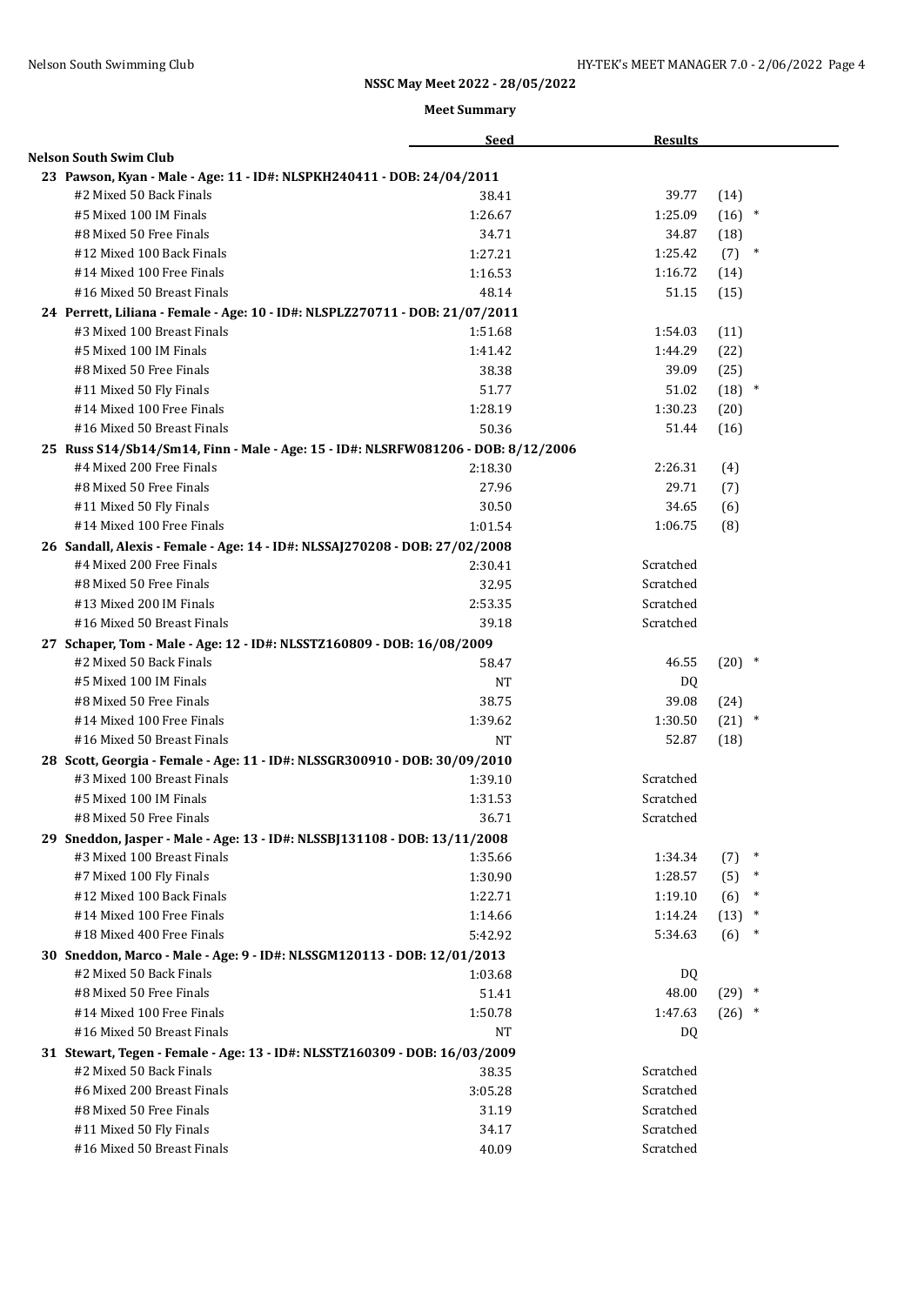|                                                                                   | <b>Seed</b> | <b>Results</b> |                |  |
|-----------------------------------------------------------------------------------|-------------|----------------|----------------|--|
| <b>Nelson South Swim Club</b>                                                     |             |                |                |  |
| 23 Pawson, Kyan - Male - Age: 11 - ID#: NLSPKH240411 - DOB: 24/04/2011            |             |                |                |  |
| #2 Mixed 50 Back Finals                                                           | 38.41       | 39.77          | (14)           |  |
| #5 Mixed 100 IM Finals                                                            | 1:26.67     | 1:25.09        | $(16)$ *       |  |
| #8 Mixed 50 Free Finals                                                           | 34.71       | 34.87          | (18)           |  |
| #12 Mixed 100 Back Finals                                                         | 1:27.21     | 1:25.42        | (7)<br>$\ast$  |  |
| #14 Mixed 100 Free Finals                                                         | 1:16.53     | 1:16.72        | (14)           |  |
| #16 Mixed 50 Breast Finals                                                        | 48.14       | 51.15          | (15)           |  |
| 24 Perrett, Liliana - Female - Age: 10 - ID#: NLSPLZ270711 - DOB: 21/07/2011      |             |                |                |  |
| #3 Mixed 100 Breast Finals                                                        | 1:51.68     | 1:54.03        | (11)           |  |
| #5 Mixed 100 IM Finals                                                            | 1:41.42     | 1:44.29        | (22)           |  |
| #8 Mixed 50 Free Finals                                                           | 38.38       | 39.09          | (25)           |  |
| #11 Mixed 50 Fly Finals                                                           | 51.77       | 51.02          | $(18)$ *       |  |
| #14 Mixed 100 Free Finals                                                         | 1:28.19     | 1:30.23        | (20)           |  |
| #16 Mixed 50 Breast Finals                                                        | 50.36       | 51.44          | (16)           |  |
| 25 Russ S14/Sb14/Sm14, Finn - Male - Age: 15 - ID#: NLSRFW081206 - DOB: 8/12/2006 |             |                |                |  |
| #4 Mixed 200 Free Finals                                                          | 2:18.30     | 2:26.31        | (4)            |  |
| #8 Mixed 50 Free Finals                                                           | 27.96       | 29.71          | (7)            |  |
| #11 Mixed 50 Fly Finals                                                           | 30.50       | 34.65          | (6)            |  |
| #14 Mixed 100 Free Finals                                                         | 1:01.54     | 1:06.75        | (8)            |  |
| 26 Sandall, Alexis - Female - Age: 14 - ID#: NLSSAJ270208 - DOB: 27/02/2008       |             |                |                |  |
| #4 Mixed 200 Free Finals                                                          | 2:30.41     | Scratched      |                |  |
| #8 Mixed 50 Free Finals                                                           | 32.95       | Scratched      |                |  |
| #13 Mixed 200 IM Finals                                                           | 2:53.35     | Scratched      |                |  |
| #16 Mixed 50 Breast Finals                                                        | 39.18       | Scratched      |                |  |
| 27 Schaper, Tom - Male - Age: 12 - ID#: NLSSTZ160809 - DOB: 16/08/2009            |             |                |                |  |
| #2 Mixed 50 Back Finals                                                           | 58.47       | 46.55          | $(20)$ *       |  |
| #5 Mixed 100 IM Finals                                                            | <b>NT</b>   | DQ             |                |  |
| #8 Mixed 50 Free Finals                                                           | 38.75       | 39.08          | (24)           |  |
| #14 Mixed 100 Free Finals                                                         | 1:39.62     | 1:30.50        | $(21)$ *       |  |
| #16 Mixed 50 Breast Finals                                                        | <b>NT</b>   | 52.87          | (18)           |  |
| 28 Scott, Georgia - Female - Age: 11 - ID#: NLSSGR300910 - DOB: 30/09/2010        |             |                |                |  |
| #3 Mixed 100 Breast Finals                                                        | 1:39.10     | Scratched      |                |  |
| #5 Mixed 100 IM Finals                                                            | 1:31.53     | Scratched      |                |  |
| #8 Mixed 50 Free Finals                                                           | 36.71       | Scratched      |                |  |
| 29 Sneddon, Jasper - Male - Age: 13 - ID#: NLSSBJ131108 - DOB: 13/11/2008         |             |                |                |  |
| #3 Mixed 100 Breast Finals                                                        | 1:35.66     | 1:34.34        | $\ast$<br>(7)  |  |
| #7 Mixed 100 Fly Finals                                                           | 1:30.90     | 1:28.57        | (5)<br>$\ast$  |  |
| #12 Mixed 100 Back Finals                                                         | 1:22.71     | 1:19.10        | $\ast$<br>(6)  |  |
| #14 Mixed 100 Free Finals                                                         | 1:14.66     | 1:14.24        | (13)<br>$\ast$ |  |
| #18 Mixed 400 Free Finals                                                         | 5:42.92     | 5:34.63        | (6)<br>$\ast$  |  |
| 30 Sneddon, Marco - Male - Age: 9 - ID#: NLSSGM120113 - DOB: 12/01/2013           |             |                |                |  |
| #2 Mixed 50 Back Finals                                                           | 1:03.68     | DQ             |                |  |
| #8 Mixed 50 Free Finals                                                           | 51.41       | 48.00          | $(29)$ *       |  |
| #14 Mixed 100 Free Finals                                                         | 1:50.78     | 1:47.63        | $(26)$ *       |  |
| #16 Mixed 50 Breast Finals                                                        | NT          | DQ             |                |  |
| 31 Stewart, Tegen - Female - Age: 13 - ID#: NLSSTZ160309 - DOB: 16/03/2009        |             |                |                |  |
| #2 Mixed 50 Back Finals                                                           | 38.35       | Scratched      |                |  |
| #6 Mixed 200 Breast Finals                                                        | 3:05.28     | Scratched      |                |  |
| #8 Mixed 50 Free Finals                                                           | 31.19       | Scratched      |                |  |
| #11 Mixed 50 Fly Finals                                                           | 34.17       | Scratched      |                |  |
| #16 Mixed 50 Breast Finals                                                        | 40.09       | Scratched      |                |  |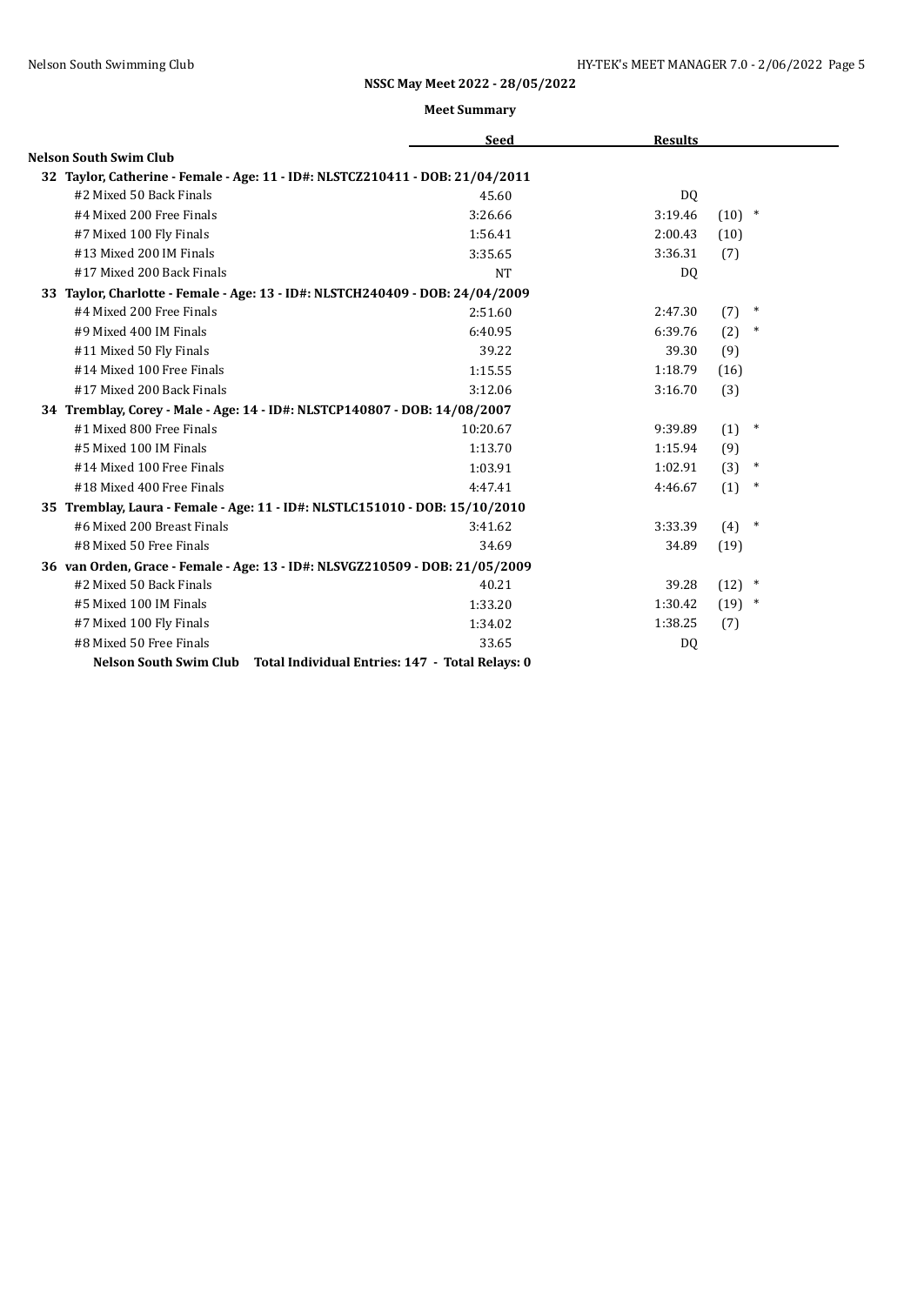|                                                                               | <b>Seed</b> | <b>Results</b> |               |
|-------------------------------------------------------------------------------|-------------|----------------|---------------|
| <b>Nelson South Swim Club</b>                                                 |             |                |               |
| 32 Taylor, Catherine - Female - Age: 11 - ID#: NLSTCZ210411 - DOB: 21/04/2011 |             |                |               |
| #2 Mixed 50 Back Finals                                                       | 45.60       | D <sub>0</sub> |               |
| #4 Mixed 200 Free Finals                                                      | 3:26.66     | 3:19.46        | $(10)$ *      |
| #7 Mixed 100 Fly Finals                                                       | 1:56.41     | 2:00.43        | (10)          |
| #13 Mixed 200 IM Finals                                                       | 3:35.65     | 3:36.31        | (7)           |
| #17 Mixed 200 Back Finals                                                     | <b>NT</b>   | D <sub>0</sub> |               |
| 33 Taylor, Charlotte - Female - Age: 13 - ID#: NLSTCH240409 - DOB: 24/04/2009 |             |                |               |
| #4 Mixed 200 Free Finals                                                      | 2:51.60     | 2:47.30        | $\ast$<br>(7) |
| #9 Mixed 400 IM Finals                                                        | 6:40.95     | 6:39.76        | (2)<br>$\ast$ |
| #11 Mixed 50 Fly Finals                                                       | 39.22       | 39.30          | (9)           |
| #14 Mixed 100 Free Finals                                                     | 1:15.55     | 1:18.79        | (16)          |
| #17 Mixed 200 Back Finals                                                     | 3:12.06     | 3:16.70        | (3)           |
| 34 Tremblay, Corey - Male - Age: 14 - ID#: NLSTCP140807 - DOB: 14/08/2007     |             |                |               |
| #1 Mixed 800 Free Finals                                                      | 10:20.67    | 9:39.89        | $\ast$<br>(1) |
| #5 Mixed 100 IM Finals                                                        | 1:13.70     | 1:15.94        | (9)           |
| #14 Mixed 100 Free Finals                                                     | 1:03.91     | 1:02.91        | (3)<br>$\ast$ |
| #18 Mixed 400 Free Finals                                                     | 4:47.41     | 4:46.67        | (1)<br>$\ast$ |
| 35 Tremblay, Laura - Female - Age: 11 - ID#: NLSTLC151010 - DOB: 15/10/2010   |             |                |               |
| #6 Mixed 200 Breast Finals                                                    | 3:41.62     | 3:33.39        | $\ast$<br>(4) |
| #8 Mixed 50 Free Finals                                                       | 34.69       | 34.89          | (19)          |
| 36 van Orden, Grace - Female - Age: 13 - ID#: NLSVGZ210509 - DOB: 21/05/2009  |             |                |               |
| #2 Mixed 50 Back Finals                                                       | 40.21       | 39.28          | $(12)$ *      |
| #5 Mixed 100 IM Finals                                                        | 1:33.20     | 1:30.42        | $(19)$ *      |
| #7 Mixed 100 Fly Finals                                                       | 1:34.02     | 1:38.25        | (7)           |
| #8 Mixed 50 Free Finals                                                       | 33.65       | DQ             |               |
| Nelson South Swim Club Total Individual Entries: 147 - Total Relays: 0        |             |                |               |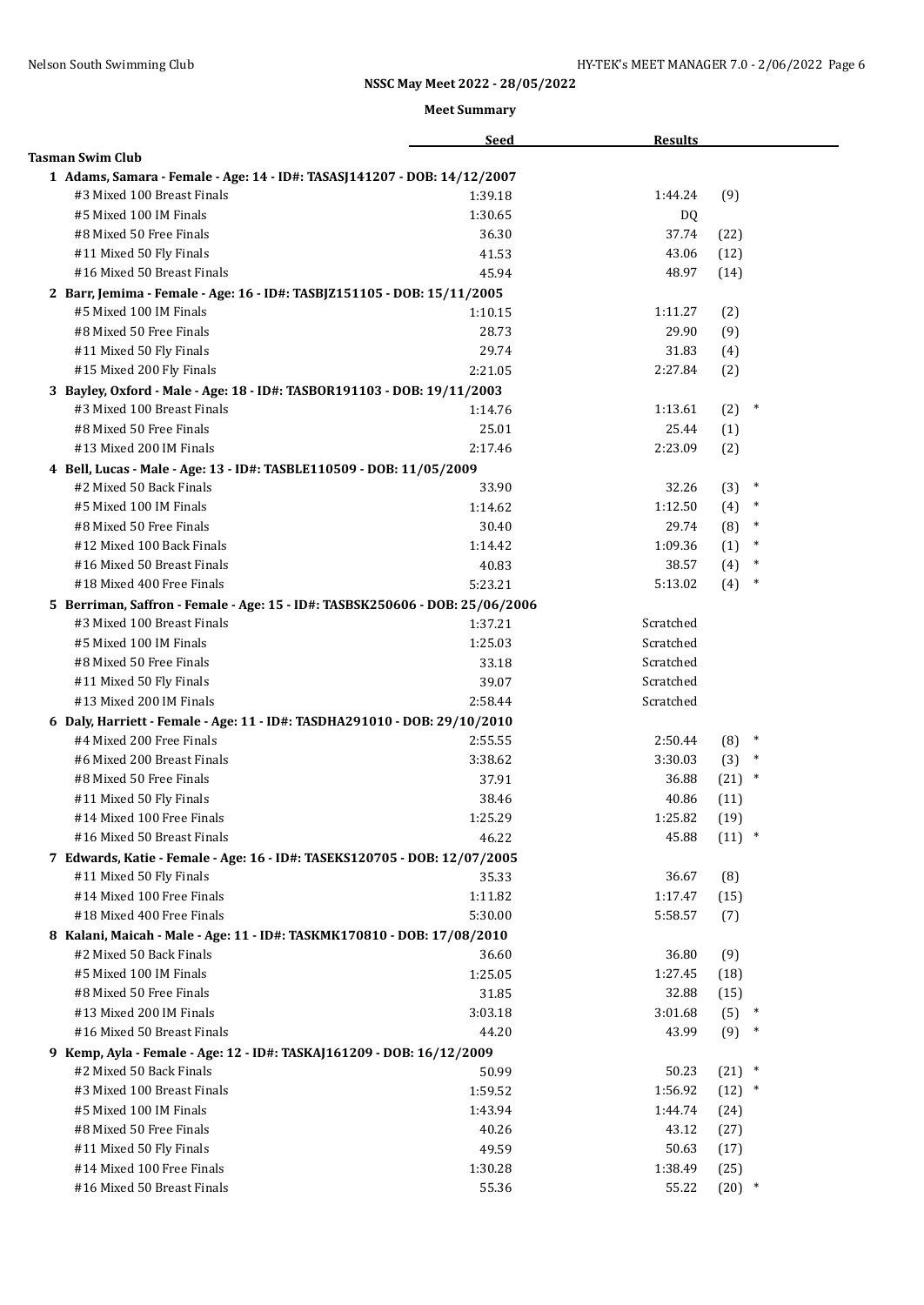|                                                                                                       | <b>Seed</b> | <b>Results</b>     |                  |        |
|-------------------------------------------------------------------------------------------------------|-------------|--------------------|------------------|--------|
| <b>Tasman Swim Club</b>                                                                               |             |                    |                  |        |
| 1 Adams, Samara - Female - Age: 14 - ID#: TASASJ141207 - DOB: 14/12/2007                              |             |                    |                  |        |
| #3 Mixed 100 Breast Finals                                                                            | 1:39.18     | 1:44.24            | (9)              |        |
| #5 Mixed 100 IM Finals                                                                                | 1:30.65     | DQ.                |                  |        |
| #8 Mixed 50 Free Finals                                                                               | 36.30       | 37.74              | (22)             |        |
| #11 Mixed 50 Fly Finals                                                                               | 41.53       | 43.06              | (12)             |        |
| #16 Mixed 50 Breast Finals                                                                            | 45.94       | 48.97              | (14)             |        |
| 2 Barr, Jemima - Female - Age: 16 - ID#: TASBJZ151105 - DOB: 15/11/2005                               |             |                    |                  |        |
| #5 Mixed 100 IM Finals                                                                                | 1:10.15     | 1:11.27            | (2)              |        |
| #8 Mixed 50 Free Finals                                                                               | 28.73       | 29.90              | (9)              |        |
| #11 Mixed 50 Fly Finals                                                                               | 29.74       | 31.83              | (4)              |        |
| #15 Mixed 200 Fly Finals                                                                              | 2:21.05     | 2:27.84            | (2)              |        |
| 3 Bayley, Oxford - Male - Age: 18 - ID#: TASBOR191103 - DOB: 19/11/2003                               |             |                    |                  |        |
| #3 Mixed 100 Breast Finals                                                                            | 1:14.76     | 1:13.61            | (2)              | $\ast$ |
| #8 Mixed 50 Free Finals                                                                               | 25.01       | 25.44              | (1)              |        |
| #13 Mixed 200 IM Finals                                                                               | 2:17.46     | 2:23.09            | (2)              |        |
| 4 Bell, Lucas - Male - Age: 13 - ID#: TASBLE110509 - DOB: 11/05/2009                                  |             |                    |                  |        |
| #2 Mixed 50 Back Finals                                                                               | 33.90       | 32.26              | (3)              | $\ast$ |
| #5 Mixed 100 IM Finals                                                                                | 1:14.62     | 1:12.50            | (4)              | $\ast$ |
| #8 Mixed 50 Free Finals                                                                               | 30.40       | 29.74              | (8)              | $\ast$ |
| #12 Mixed 100 Back Finals                                                                             | 1:14.42     | 1:09.36            | (1)              | $\ast$ |
| #16 Mixed 50 Breast Finals                                                                            | 40.83       | 38.57              | (4)              | $\ast$ |
| #18 Mixed 400 Free Finals                                                                             | 5:23.21     | 5:13.02            | (4)              | $\ast$ |
| 5 Berriman, Saffron - Female - Age: 15 - ID#: TASBSK250606 - DOB: 25/06/2006                          |             |                    |                  |        |
| #3 Mixed 100 Breast Finals                                                                            | 1:37.21     | Scratched          |                  |        |
| #5 Mixed 100 IM Finals                                                                                | 1:25.03     | Scratched          |                  |        |
| #8 Mixed 50 Free Finals                                                                               | 33.18       | Scratched          |                  |        |
| #11 Mixed 50 Fly Finals                                                                               | 39.07       | Scratched          |                  |        |
| #13 Mixed 200 IM Finals                                                                               | 2:58.44     | Scratched          |                  |        |
|                                                                                                       |             |                    |                  |        |
| 6 Daly, Harriett - Female - Age: 11 - ID#: TASDHA291010 - DOB: 29/10/2010<br>#4 Mixed 200 Free Finals | 2:55.55     | 2:50.44            | $(8)$ *          |        |
| #6 Mixed 200 Breast Finals                                                                            | 3:38.62     | 3:30.03            | (3)              | $\ast$ |
| #8 Mixed 50 Free Finals                                                                               | 37.91       | 36.88              | $(21)$ *         |        |
| #11 Mixed 50 Fly Finals                                                                               | 38.46       | 40.86              | (11)             |        |
| #14 Mixed 100 Free Finals                                                                             | 1:25.29     | 1:25.82            |                  |        |
| #16 Mixed 50 Breast Finals                                                                            |             | 45.88              | (19)<br>$(11)$ * |        |
|                                                                                                       | 46.22       |                    |                  |        |
| 7 Edwards, Katie - Female - Age: 16 - ID#: TASEKS120705 - DOB: 12/07/2005                             | 35.33       | 36.67              |                  |        |
| #11 Mixed 50 Fly Finals<br>#14 Mixed 100 Free Finals                                                  | 1:11.82     |                    | (8)              |        |
| #18 Mixed 400 Free Finals                                                                             |             | 1:17.47<br>5:58.57 | (15)             |        |
|                                                                                                       | 5:30.00     |                    | (7)              |        |
| 8 Kalani, Maicah - Male - Age: 11 - ID#: TASKMK170810 - DOB: 17/08/2010                               |             |                    |                  |        |
| #2 Mixed 50 Back Finals                                                                               | 36.60       | 36.80              | (9)              |        |
| #5 Mixed 100 IM Finals                                                                                | 1:25.05     | 1:27.45            | (18)             |        |
| #8 Mixed 50 Free Finals                                                                               | 31.85       | 32.88              | (15)             |        |
| #13 Mixed 200 IM Finals                                                                               | 3:03.18     | 3:01.68            | (5)              | $\ast$ |
| #16 Mixed 50 Breast Finals                                                                            | 44.20       | 43.99              | (9)              | $\ast$ |
| 9 Kemp, Ayla - Female - Age: 12 - ID#: TASKAJ161209 - DOB: 16/12/2009                                 |             |                    |                  |        |
| #2 Mixed 50 Back Finals                                                                               | 50.99       | 50.23              | $(21)$ *         |        |
| #3 Mixed 100 Breast Finals                                                                            | 1:59.52     | 1:56.92            | $(12)$ *         |        |
| #5 Mixed 100 IM Finals                                                                                | 1:43.94     | 1:44.74            | (24)             |        |
| #8 Mixed 50 Free Finals                                                                               | 40.26       | 43.12              | (27)             |        |
| #11 Mixed 50 Fly Finals                                                                               | 49.59       | 50.63              | (17)             |        |
| #14 Mixed 100 Free Finals                                                                             | 1:30.28     | 1:38.49            | (25)             |        |
| #16 Mixed 50 Breast Finals                                                                            | 55.36       | 55.22              | $(20)$ *         |        |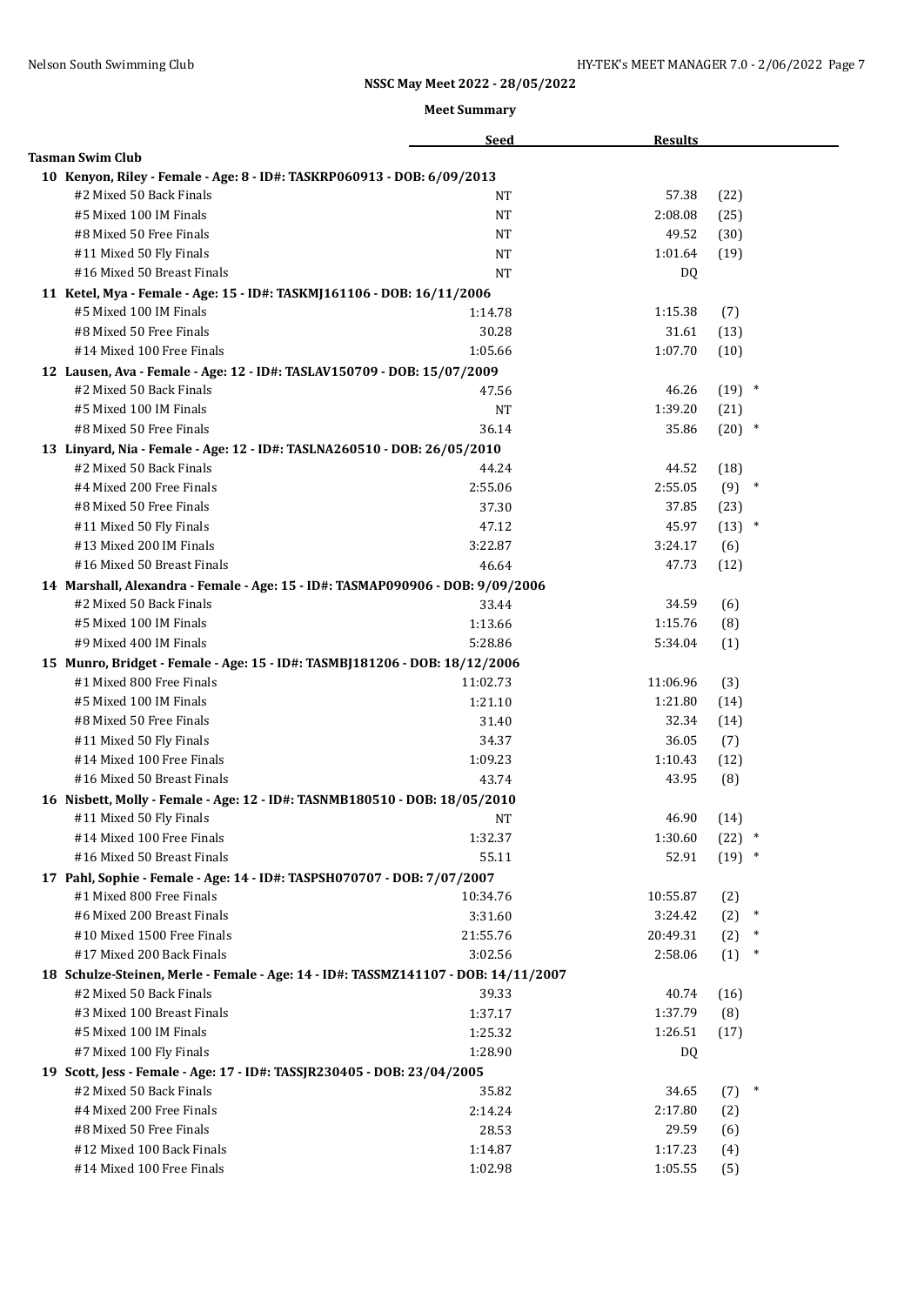|                                                                                    | <b>Seed</b> | <b>Results</b> |          |        |
|------------------------------------------------------------------------------------|-------------|----------------|----------|--------|
| <b>Tasman Swim Club</b>                                                            |             |                |          |        |
| 10 Kenyon, Riley - Female - Age: 8 - ID#: TASKRP060913 - DOB: 6/09/2013            |             |                |          |        |
| #2 Mixed 50 Back Finals                                                            | NT          | 57.38          | (22)     |        |
| #5 Mixed 100 IM Finals                                                             | <b>NT</b>   | 2:08.08        | (25)     |        |
| #8 Mixed 50 Free Finals                                                            | <b>NT</b>   | 49.52          | (30)     |        |
| #11 Mixed 50 Fly Finals                                                            | NT          | 1:01.64        | (19)     |        |
| #16 Mixed 50 Breast Finals                                                         | <b>NT</b>   | DQ             |          |        |
| 11 Ketel, Mya - Female - Age: 15 - ID#: TASKMJ161106 - DOB: 16/11/2006             |             |                |          |        |
| #5 Mixed 100 IM Finals                                                             | 1:14.78     | 1:15.38        | (7)      |        |
| #8 Mixed 50 Free Finals                                                            | 30.28       | 31.61          | (13)     |        |
| #14 Mixed 100 Free Finals                                                          | 1:05.66     | 1:07.70        | (10)     |        |
| 12 Lausen, Ava - Female - Age: 12 - ID#: TASLAV150709 - DOB: 15/07/2009            |             |                |          |        |
| #2 Mixed 50 Back Finals                                                            | 47.56       | 46.26          | $(19)$ * |        |
| #5 Mixed 100 IM Finals                                                             | NΤ          | 1:39.20        | (21)     |        |
| #8 Mixed 50 Free Finals                                                            | 36.14       | 35.86          | $(20)$ * |        |
| 13 Linyard, Nia - Female - Age: 12 - ID#: TASLNA260510 - DOB: 26/05/2010           |             |                |          |        |
| #2 Mixed 50 Back Finals                                                            | 44.24       | 44.52          | (18)     |        |
| #4 Mixed 200 Free Finals                                                           | 2:55.06     | 2:55.05        | $(9)$ *  |        |
| #8 Mixed 50 Free Finals                                                            | 37.30       | 37.85          | (23)     |        |
| #11 Mixed 50 Fly Finals                                                            | 47.12       | 45.97          | $(13)$ * |        |
| #13 Mixed 200 IM Finals                                                            | 3:22.87     | 3:24.17        | (6)      |        |
| #16 Mixed 50 Breast Finals                                                         | 46.64       | 47.73          | (12)     |        |
| 14 Marshall, Alexandra - Female - Age: 15 - ID#: TASMAP090906 - DOB: 9/09/2006     |             |                |          |        |
| #2 Mixed 50 Back Finals                                                            | 33.44       | 34.59          | (6)      |        |
| #5 Mixed 100 IM Finals                                                             | 1:13.66     | 1:15.76        | (8)      |        |
| #9 Mixed 400 IM Finals                                                             | 5:28.86     | 5:34.04        | (1)      |        |
| 15 Munro, Bridget - Female - Age: 15 - ID#: TASMBJ181206 - DOB: 18/12/2006         |             |                |          |        |
| #1 Mixed 800 Free Finals                                                           | 11:02.73    | 11:06.96       | (3)      |        |
| #5 Mixed 100 IM Finals                                                             | 1:21.10     | 1:21.80        | (14)     |        |
| #8 Mixed 50 Free Finals                                                            | 31.40       | 32.34          | (14)     |        |
| #11 Mixed 50 Fly Finals                                                            | 34.37       | 36.05          | (7)      |        |
| #14 Mixed 100 Free Finals                                                          | 1:09.23     | 1:10.43        | (12)     |        |
| #16 Mixed 50 Breast Finals                                                         | 43.74       | 43.95          | (8)      |        |
| 16 Nisbett, Molly - Female - Age: 12 - ID#: TASNMB180510 - DOB: 18/05/2010         |             |                |          |        |
| #11 Mixed 50 Fly Finals                                                            | <b>NT</b>   | 46.90          | (14)     |        |
| #14 Mixed 100 Free Finals                                                          | 1:32.37     | 1:30.60        | $(22)$ * |        |
| #16 Mixed 50 Breast Finals                                                         | 55.11       | 52.91          | $(19)$ * |        |
| 17 Pahl, Sophie - Female - Age: 14 - ID#: TASPSH070707 - DOB: 7/07/2007            |             |                |          |        |
| #1 Mixed 800 Free Finals                                                           | 10:34.76    | 10:55.87       | (2)      |        |
| #6 Mixed 200 Breast Finals                                                         | 3:31.60     | 3:24.42        | (2)      | $\ast$ |
| #10 Mixed 1500 Free Finals                                                         | 21:55.76    | 20:49.31       | (2)      | $\ast$ |
| #17 Mixed 200 Back Finals                                                          | 3:02.56     | 2:58.06        | (1)      | $\ast$ |
| 18 Schulze-Steinen, Merle - Female - Age: 14 - ID#: TASSMZ141107 - DOB: 14/11/2007 |             |                |          |        |
| #2 Mixed 50 Back Finals                                                            | 39.33       | 40.74          | (16)     |        |
| #3 Mixed 100 Breast Finals                                                         | 1:37.17     | 1:37.79        | (8)      |        |
| #5 Mixed 100 IM Finals                                                             | 1:25.32     | 1:26.51        | (17)     |        |
| #7 Mixed 100 Fly Finals                                                            | 1:28.90     | DQ             |          |        |
| 19 Scott, Jess - Female - Age: 17 - ID#: TASSJR230405 - DOB: 23/04/2005            |             |                |          |        |
| #2 Mixed 50 Back Finals                                                            | 35.82       | 34.65          | (7)      | $\ast$ |
| #4 Mixed 200 Free Finals                                                           | 2:14.24     | 2:17.80        | (2)      |        |
| #8 Mixed 50 Free Finals                                                            | 28.53       | 29.59          | (6)      |        |
| #12 Mixed 100 Back Finals                                                          | 1:14.87     | 1:17.23        | (4)      |        |
| #14 Mixed 100 Free Finals                                                          | 1:02.98     | 1:05.55        | (5)      |        |
|                                                                                    |             |                |          |        |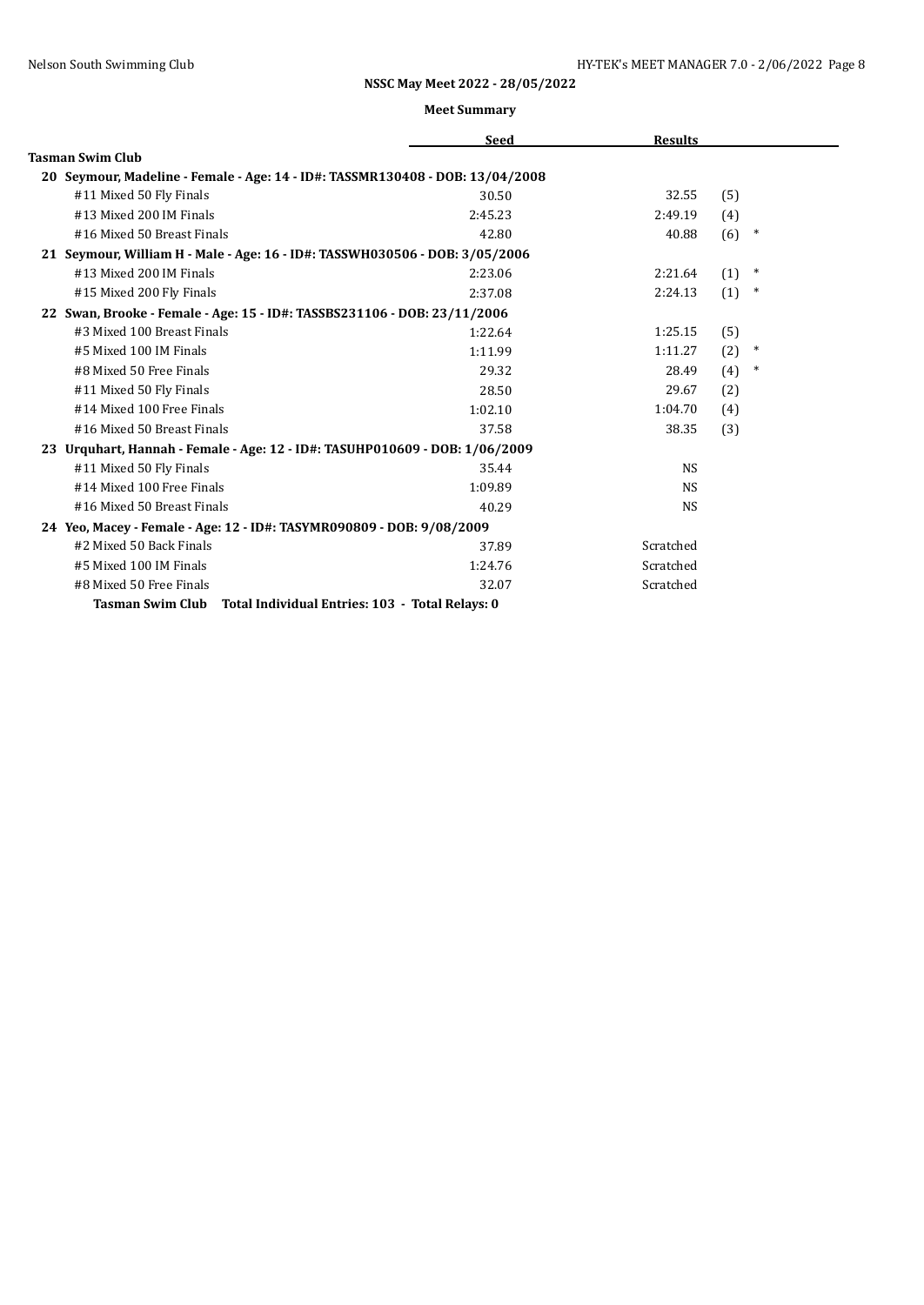|                                                                               | <b>Seed</b> | <b>Results</b> |     |        |
|-------------------------------------------------------------------------------|-------------|----------------|-----|--------|
| <b>Tasman Swim Club</b>                                                       |             |                |     |        |
| 20 Seymour, Madeline - Female - Age: 14 - ID#: TASSMR130408 - DOB: 13/04/2008 |             |                |     |        |
| #11 Mixed 50 Fly Finals                                                       | 30.50       | 32.55          | (5) |        |
| #13 Mixed 200 IM Finals                                                       | 2:45.23     | 2:49.19        | (4) |        |
| #16 Mixed 50 Breast Finals                                                    | 42.80       | 40.88          | (6) | $\ast$ |
| 21 Seymour, William H - Male - Age: 16 - ID#: TASSWH030506 - DOB: 3/05/2006   |             |                |     |        |
| #13 Mixed 200 IM Finals                                                       | 2:23.06     | 2:21.64        | (1) | $\ast$ |
| #15 Mixed 200 Fly Finals                                                      | 2:37.08     | 2:24.13        | (1) | $\ast$ |
| 22 Swan, Brooke - Female - Age: 15 - ID#: TASSBS231106 - DOB: 23/11/2006      |             |                |     |        |
| #3 Mixed 100 Breast Finals                                                    | 1:22.64     | 1:25.15        | (5) |        |
| #5 Mixed 100 IM Finals                                                        | 1:11.99     | 1:11.27        | (2) | $\ast$ |
| #8 Mixed 50 Free Finals                                                       | 29.32       | 28.49          | (4) | *      |
| #11 Mixed 50 Fly Finals                                                       | 28.50       | 29.67          | (2) |        |
| #14 Mixed 100 Free Finals                                                     | 1:02.10     | 1:04.70        | (4) |        |
| #16 Mixed 50 Breast Finals                                                    | 37.58       | 38.35          | (3) |        |
| 23 Urquhart, Hannah - Female - Age: 12 - ID#: TASUHP010609 - DOB: 1/06/2009   |             |                |     |        |
| #11 Mixed 50 Fly Finals                                                       | 35.44       | <b>NS</b>      |     |        |
| #14 Mixed 100 Free Finals                                                     | 1:09.89     | <b>NS</b>      |     |        |
| #16 Mixed 50 Breast Finals                                                    | 40.29       | <b>NS</b>      |     |        |
| 24 Yeo, Macey - Female - Age: 12 - ID#: TASYMR090809 - DOB: 9/08/2009         |             |                |     |        |
| #2 Mixed 50 Back Finals                                                       | 37.89       | Scratched      |     |        |
| #5 Mixed 100 IM Finals                                                        | 1:24.76     | Scratched      |     |        |
| #8 Mixed 50 Free Finals                                                       | 32.07       | Scratched      |     |        |
| Tasman Swim Club Total Individual Entries: 103 - Total Relays: 0              |             |                |     |        |